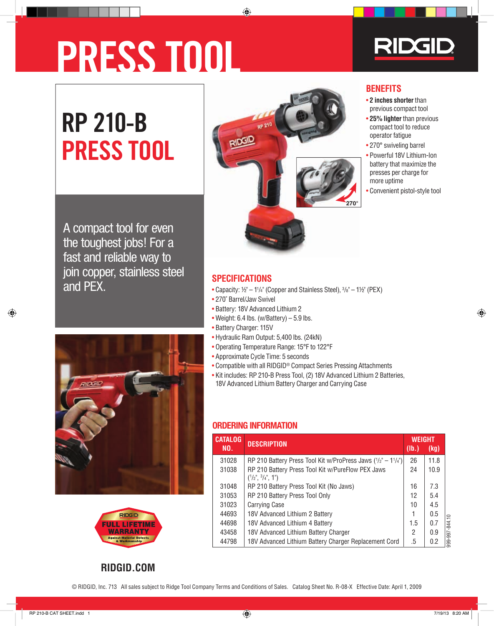# **PRESS TOOL**



**BENEFITS**

more uptime

• Convenient pistol-style tool

• **2 inches shorter** than previous compact tool • **25% lighter** than previous compact tool to reduce operator fatigue • 270° swiveling barrel • Powerful 18V Lithium-Ion battery that maximize the presses per charge for

## **RP 210-B PRESS TOOL**



A compact tool for even the toughest jobs! For a fast and reliable way to join copper, stainless steel and PEX.



- Capacity:  $1/2$ " 1 $1/4$ " (Copper and Stainless Steel),  $3/8$ " 1 $1/2$ " (PEX)
- Battery: 18V Advanced Lithium 2
- Weight: 6.4 lbs. (w/Battery)  $-5.9$  lbs.
- Battery Charger: 115V
- Hydraulic Ram Output: 5,400 lbs. (24kN)
- Operating Temperature Range: 15°F to 122°F
- Approximate Cycle Time: 5 seconds
- Compatible with all RIDGID® Compact Series Pressing Attachments
- Kit includes: RP 210-B Press Tool, (2) 18V Advanced Lithium 2 Batteries, 18V Advanced Lithium Battery Charger and Carrying Case

#### Ordering infOrmatiOn

| <b>CATALOG</b> | <b>DESCRIPTION</b>                                                                      | <b>WEIGHT</b>    |      |
|----------------|-----------------------------------------------------------------------------------------|------------------|------|
| NO.            |                                                                                         | $(\mathsf{lb.})$ | (kg) |
| 31028          | RP 210 Battery Press Tool Kit w/ProPress Jaws $(1/z'' - 11/4'')$                        | 26               | 11.8 |
| 31038          | RP 210 Battery Press Tool Kit w/PureFlow PEX Jaws<br>$(^{1}/_{2}$ ", $^{3}/_{4}$ ", 1") | 24               | 10.9 |
| 31048          | RP 210 Battery Press Tool Kit (No Jaws)                                                 | 16               | 7.3  |
| 31053          | RP 210 Battery Press Tool Only                                                          | 12               | 5.4  |
| 31023          | <b>Carrying Case</b>                                                                    | 10               | 4.5  |
| 44693          | 18V Advanced Lithium 2 Battery                                                          |                  | 0.5  |
| 44698          | 18V Advanced Lithium 4 Battery                                                          | 1.5              | 0.7  |
| 43458          | 18V Advanced Lithium Battery Charger                                                    | 2                | 0.9  |
| 44798          | 18V Advanced Lithium Battery Charger Replacement Cord                                   | .5               | 0.2  |





**rIdgId.COM**

## • 270˚ Barrel/Jaw Swivel

- 
- 
- 
- 
- 
- 
- 
-